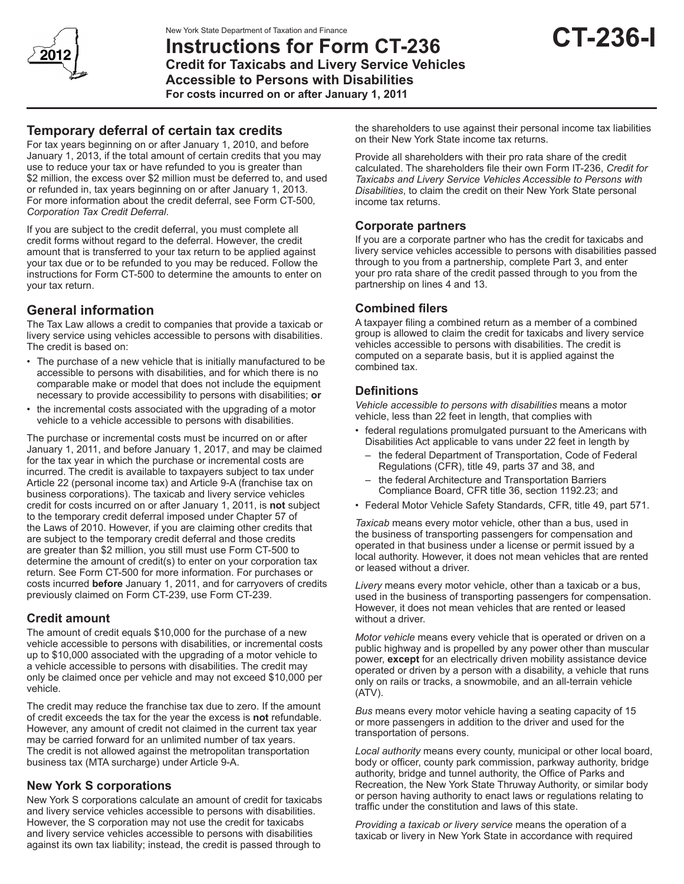

# **Instructions for Form CT-236 Credit for Taxicabs and Livery Service Vehicles Accessible to Persons with Disabilities For costs incurred on or after January 1, 2011**

### **Temporary deferral of certain tax credits**

For tax years beginning on or after January 1, 2010, and before January 1, 2013, if the total amount of certain credits that you may use to reduce your tax or have refunded to you is greater than \$2 million, the excess over \$2 million must be deferred to, and used or refunded in, tax years beginning on or after January 1, 2013. For more information about the credit deferral, see Form CT-500*, Corporation Tax Credit Deferral*.

If you are subject to the credit deferral, you must complete all credit forms without regard to the deferral. However, the credit amount that is transferred to your tax return to be applied against your tax due or to be refunded to you may be reduced. Follow the instructions for Form CT-500 to determine the amounts to enter on your tax return.

#### **General information**

The Tax Law allows a credit to companies that provide a taxicab or livery service using vehicles accessible to persons with disabilities. The credit is based on:

- The purchase of a new vehicle that is initially manufactured to be accessible to persons with disabilities, and for which there is no comparable make or model that does not include the equipment necessary to provide accessibility to persons with disabilities; **or**
- the incremental costs associated with the upgrading of a motor vehicle to a vehicle accessible to persons with disabilities.

The purchase or incremental costs must be incurred on or after January 1, 2011, and before January 1, 2017, and may be claimed for the tax year in which the purchase or incremental costs are incurred. The credit is available to taxpayers subject to tax under Article 22 (personal income tax) and Article 9-A (franchise tax on business corporations). The taxicab and livery service vehicles credit for costs incurred on or after January 1, 2011, is **not** subject to the temporary credit deferral imposed under Chapter 57 of the Laws of 2010. However, if you are claiming other credits that are subject to the temporary credit deferral and those credits are greater than \$2 million, you still must use Form CT-500 to determine the amount of credit(s) to enter on your corporation tax return. See Form CT-500 for more information. For purchases or costs incurred **before** January 1, 2011, and for carryovers of credits previously claimed on Form CT-239, use Form CT-239.

#### **Credit amount**

The amount of credit equals \$10,000 for the purchase of a new vehicle accessible to persons with disabilities, or incremental costs up to \$10,000 associated with the upgrading of a motor vehicle to a vehicle accessible to persons with disabilities. The credit may only be claimed once per vehicle and may not exceed \$10,000 per vehicle.

The credit may reduce the franchise tax due to zero. If the amount of credit exceeds the tax for the year the excess is **not** refundable. However, any amount of credit not claimed in the current tax year may be carried forward for an unlimited number of tax years. The credit is not allowed against the metropolitan transportation business tax (MTA surcharge) under Article 9-A.

#### **New York S corporations**

New York S corporations calculate an amount of credit for taxicabs and livery service vehicles accessible to persons with disabilities. However, the S corporation may not use the credit for taxicabs and livery service vehicles accessible to persons with disabilities against its own tax liability; instead, the credit is passed through to

the shareholders to use against their personal income tax liabilities on their New York State income tax returns.

Provide all shareholders with their pro rata share of the credit calculated. The shareholders file their own Form IT-236, *Credit for Taxicabs and Livery Service Vehicles Accessible to Persons with Disabilities*, to claim the credit on their New York State personal income tax returns.

#### **Corporate partners**

If you are a corporate partner who has the credit for taxicabs and livery service vehicles accessible to persons with disabilities passed through to you from a partnership, complete Part 3, and enter your pro rata share of the credit passed through to you from the partnership on lines 4 and 13.

#### **Combined filers**

A taxpayer filing a combined return as a member of a combined group is allowed to claim the credit for taxicabs and livery service vehicles accessible to persons with disabilities. The credit is computed on a separate basis, but it is applied against the combined tax.

#### **Definitions**

*Vehicle accessible to persons with disabilities* means a motor vehicle, less than 22 feet in length, that complies with

- federal regulations promulgated pursuant to the Americans with Disabilities Act applicable to vans under 22 feet in length by
	- the federal Department of Transportation, Code of Federal Regulations (CFR), title 49, parts 37 and 38, and
	- the federal Architecture and Transportation Barriers Compliance Board, CFR title 36, section 1192.23; and
- Federal Motor Vehicle Safety Standards, CFR, title 49, part 571.

*Taxicab* means every motor vehicle, other than a bus, used in the business of transporting passengers for compensation and operated in that business under a license or permit issued by a local authority. However, it does not mean vehicles that are rented or leased without a driver.

*Livery* means every motor vehicle, other than a taxicab or a bus, used in the business of transporting passengers for compensation. However, it does not mean vehicles that are rented or leased without a driver.

*Motor vehicle* means every vehicle that is operated or driven on a public highway and is propelled by any power other than muscular power, **except** for an electrically driven mobility assistance device operated or driven by a person with a disability, a vehicle that runs only on rails or tracks, a snowmobile, and an all-terrain vehicle (ATV).

*Bus* means every motor vehicle having a seating capacity of 15 or more passengers in addition to the driver and used for the transportation of persons.

*Local authority* means every county, municipal or other local board, body or officer, county park commission, parkway authority, bridge authority, bridge and tunnel authority, the Office of Parks and Recreation, the New York State Thruway Authority, or similar body or person having authority to enact laws or regulations relating to traffic under the constitution and laws of this state.

*Providing a taxicab or livery service* means the operation of a taxicab or livery in New York State in accordance with required